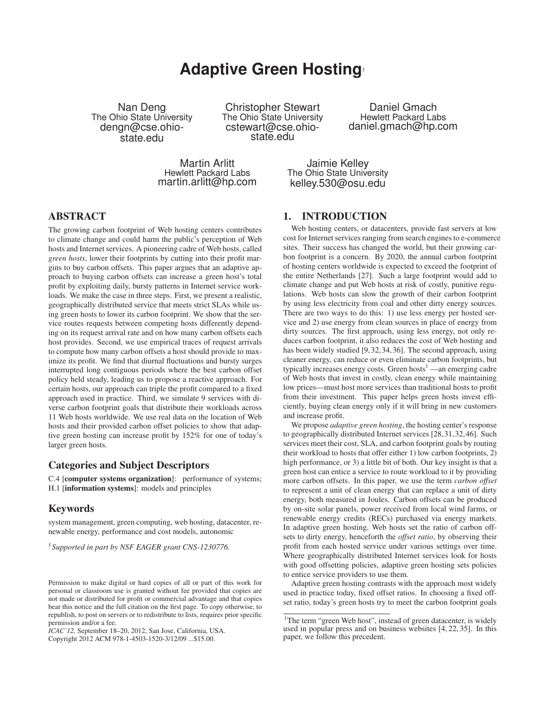# **Adaptive Green Hosting**†

Nan Deng The Ohio State University dengn@cse.ohiostate.edu

Christopher Stewart The Ohio State University cstewart@cse.ohiostate.edu

Daniel Gmach Hewlett Packard Labs daniel.gmach@hp.com

Martin Arlitt Hewlett Packard Labs martin.arlitt@hp.com

Jaimie Kelley The Ohio State University kelley.530@osu.edu

## ABSTRACT

The growing carbon footprint of Web hosting centers contributes to climate change and could harm the public's perception of Web hosts and Internet services. A pioneering cadre of Web hosts, called *green hosts*, lower their footprints by cutting into their profit margins to buy carbon offsets. This paper argues that an adaptive approach to buying carbon offsets can increase a green host's total profit by exploiting daily, bursty patterns in Internet service workloads. We make the case in three steps. First, we present a realistic, geographically distributed service that meets strict SLAs while using green hosts to lower its carbon footprint. We show that the service routes requests between competing hosts differently depending on its request arrival rate and on how many carbon offsets each host provides. Second, we use empirical traces of request arrivals to compute how many carbon offsets a host should provide to maximize its profit. We find that diurnal fluctuations and bursty surges interrupted long contiguous periods where the best carbon offset policy held steady, leading us to propose a reactive approach. For certain hosts, our approach can triple the profit compared to a fixed approach used in practice. Third, we simulate 9 services with diverse carbon footprint goals that distribute their workloads across 11 Web hosts worldwide. We use real data on the location of Web hosts and their provided carbon offset policies to show that adaptive green hosting can increase profit by 152% for one of today's larger green hosts.

#### Categories and Subject Descriptors

C.4 [computer systems organization]: performance of systems; H.1 [information systems]: models and principles

## Keywords

system management, green computing, web hosting, datacenter, renewable energy, performance and cost models, autonomic

†*Supported in part by NSF EAGER grant CNS-1230776.*

*ICAC'12,* September 18–20, 2012, San Jose, California, USA. Copyright 2012 ACM 978-1-4503-1520-3/12/09 ...\$15.00.

## 1. INTRODUCTION

Web hosting centers, or datacenters, provide fast servers at low cost for Internet services ranging from search engines to e-commerce sites. Their success has changed the world, but their growing carbon footprint is a concern. By 2020, the annual carbon footprint of hosting centers worldwide is expected to exceed the footprint of the entire Netherlands [27]. Such a large footprint would add to climate change and put Web hosts at risk of costly, punitive regulations. Web hosts can slow the growth of their carbon footprint by using less electricity from coal and other dirty energy sources. There are two ways to do this: 1) use less energy per hosted service and 2) use energy from clean sources in place of energy from dirty sources. The first approach, using less energy, not only reduces carbon footprint, it also reduces the cost of Web hosting and has been widely studied [9, 32, 34, 36]. The second approach, using cleaner energy, can reduce or even eliminate carbon footprints, but typically increases energy costs. Green hosts<sup>1</sup> —an emerging cadre of Web hosts that invest in costly, clean energy while maintaining low prices—must host more services than traditional hosts to profit from their investment. This paper helps green hosts invest efficiently, buying clean energy only if it will bring in new customers and increase profit.

We propose *adaptive green hosting*, the hosting center's response to geographically distributed Internet services [28,31,32,46]. Such services meet their cost, SLA, and carbon footprint goals by routing their workload to hosts that offer either 1) low carbon footprints, 2) high performance, or 3) a little bit of both. Our key insight is that a green host can entice a service to route workload to it by providing more carbon offsets. In this paper, we use the term *carbon offset* to represent a unit of clean energy that can replace a unit of dirty energy, both measured in Joules. Carbon offsets can be produced by on-site solar panels, power received from local wind farms, or renewable energy credits (RECs) purchased via energy markets. In adaptive green hosting, Web hosts set the ratio of carbon offsets to dirty energy, henceforth the *offset ratio*, by observing their profit from each hosted service under various settings over time. Where geographically distributed Internet services look for hosts with good offsetting policies, adaptive green hosting sets policies to entice service providers to use them.

Adaptive green hosting contrasts with the approach most widely used in practice today, fixed offset ratios. In choosing a fixed offset ratio, today's green hosts try to meet the carbon footprint goals

Permission to make digital or hard copies of all or part of this work for personal or classroom use is granted without fee provided that copies are not made or distributed for profit or commercial advantage and that copies bear this notice and the full citation on the first page. To copy otherwise, to republish, to post on servers or to redistribute to lists, requires prior specific permission and/or a fee.

<sup>&</sup>lt;sup>1</sup>The term "green Web host", instead of green datacenter, is widely used in popular press and on business websites [4, 22, 35]. In this paper, we follow this precedent.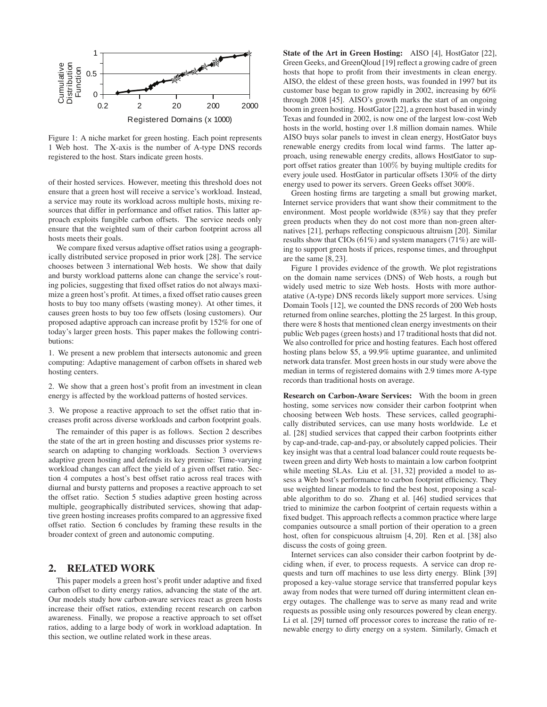

Figure 1: A niche market for green hosting. Each point represents 1 Web host. The X-axis is the number of A-type DNS records registered to the host. Stars indicate green hosts.

of their hosted services. However, meeting this threshold does not ensure that a green host will receive a service's workload. Instead, a service may route its workload across multiple hosts, mixing resources that differ in performance and offset ratios. This latter approach exploits fungible carbon offsets. The service needs only ensure that the weighted sum of their carbon footprint across all hosts meets their goals.

We compare fixed versus adaptive offset ratios using a geographically distributed service proposed in prior work [28]. The service chooses between 3 international Web hosts. We show that daily and bursty workload patterns alone can change the service's routing policies, suggesting that fixed offset ratios do not always maximize a green host's profit. At times, a fixed offset ratio causes green hosts to buy too many offsets (wasting money). At other times, it causes green hosts to buy too few offsets (losing customers). Our proposed adaptive approach can increase profit by 152% for one of today's larger green hosts. This paper makes the following contributions:

1. We present a new problem that intersects autonomic and green computing: Adaptive management of carbon offsets in shared web hosting centers.

2. We show that a green host's profit from an investment in clean energy is affected by the workload patterns of hosted services.

3. We propose a reactive approach to set the offset ratio that increases profit across diverse workloads and carbon footprint goals.

The remainder of this paper is as follows. Section 2 describes the state of the art in green hosting and discusses prior systems research on adapting to changing workloads. Section 3 overviews adaptive green hosting and defends its key premise: Time-varying workload changes can affect the yield of a given offset ratio. Section 4 computes a host's best offset ratio across real traces with diurnal and bursty patterns and proposes a reactive approach to set the offset ratio. Section 5 studies adaptive green hosting across multiple, geographically distributed services, showing that adaptive green hosting increases profits compared to an aggressive fixed offset ratio. Section 6 concludes by framing these results in the broader context of green and autonomic computing.

#### 2. RELATED WORK

This paper models a green host's profit under adaptive and fixed carbon offset to dirty energy ratios, advancing the state of the art. Our models study how carbon-aware services react as green hosts increase their offset ratios, extending recent research on carbon awareness. Finally, we propose a reactive approach to set offset ratios, adding to a large body of work in workload adaptation. In this section, we outline related work in these areas.

State of the Art in Green Hosting: AISO [4], HostGator [22], Green Geeks, and GreenQloud [19] reflect a growing cadre of green hosts that hope to profit from their investments in clean energy. AISO, the eldest of these green hosts, was founded in 1997 but its customer base began to grow rapidly in 2002, increasing by 60% through 2008 [45]. AISO's growth marks the start of an ongoing boom in green hosting. HostGator [22], a green host based in windy Texas and founded in 2002, is now one of the largest low-cost Web hosts in the world, hosting over 1.8 million domain names. While AISO buys solar panels to invest in clean energy, HostGator buys renewable energy credits from local wind farms. The latter approach, using renewable energy credits, allows HostGator to support offset ratios greater than 100% by buying multiple credits for every joule used. HostGator in particular offsets 130% of the dirty energy used to power its servers. Green Geeks offset 300%.

Green hosting firms are targeting a small but growing market, Internet service providers that want show their commitment to the environment. Most people worldwide (83%) say that they prefer green products when they do not cost more than non-green alternatives [21], perhaps reflecting conspicuous altruism [20]. Similar results show that CIOs (61%) and system managers (71%) are willing to support green hosts if prices, response times, and throughput are the same [8, 23].

Figure 1 provides evidence of the growth. We plot registrations on the domain name services (DNS) of Web hosts, a rough but widely used metric to size Web hosts. Hosts with more authoratative (A-type) DNS records likely support more services. Using Domain Tools [12], we counted the DNS records of 200 Web hosts returned from online searches, plotting the 25 largest. In this group, there were 8 hosts that mentioned clean energy investments on their public Web pages (green hosts) and 17 traditional hosts that did not. We also controlled for price and hosting features. Each host offered hosting plans below \$5, a 99.9% uptime guarantee, and unlimited network data transfer. Most green hosts in our study were above the median in terms of registered domains with 2.9 times more A-type records than traditional hosts on average.

Research on Carbon-Aware Services: With the boom in green hosting, some services now consider their carbon footprint when choosing between Web hosts. These services, called geographically distributed services, can use many hosts worldwide. Le et al. [28] studied services that capped their carbon footprints either by cap-and-trade, cap-and-pay, or absolutely capped policies. Their key insight was that a central load balancer could route requests between green and dirty Web hosts to maintain a low carbon footprint while meeting SLAs. Liu et al. [31, 32] provided a model to assess a Web host's performance to carbon footprint efficiency. They use weighted linear models to find the best host, proposing a scalable algorithm to do so. Zhang et al. [46] studied services that tried to minimize the carbon footprint of certain requests within a fixed budget. This approach reflects a common practice where large companies outsource a small portion of their operation to a green host, often for conspicuous altruism [4, 20]. Ren et al. [38] also discuss the costs of going green.

Internet services can also consider their carbon footprint by deciding when, if ever, to process requests. A service can drop requests and turn off machines to use less dirty energy. Blink [39] proposed a key-value storage service that transferred popular keys away from nodes that were turned off during intermittent clean energy outages. The challenge was to serve as many read and write requests as possible using only resources powered by clean energy. Li et al. [29] turned off processor cores to increase the ratio of renewable energy to dirty energy on a system. Similarly, Gmach et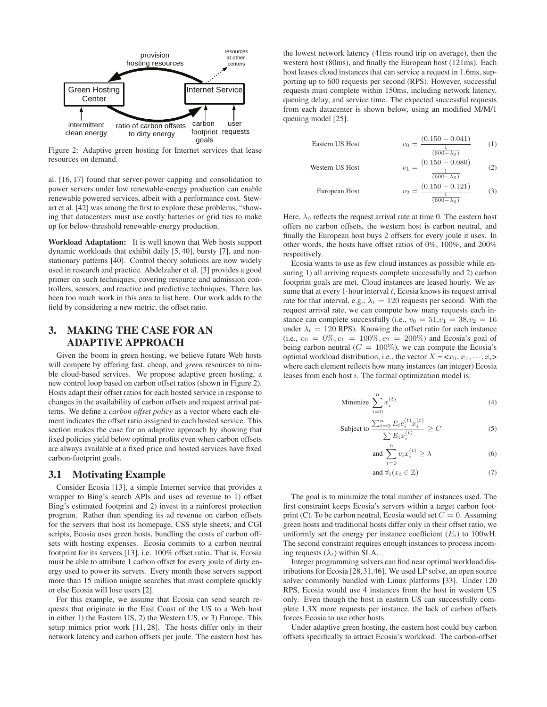

Figure 2: Adaptive green hosting for Internet services that lease resources on demand.

al. [16, 17] found that server-power capping and consolidation to power servers under low renewable-energy production can enable renewable powered services, albeit with a performance cost. Stewart et al. [42] was among the first to explore these problems, "showing that datacenters must use costly batteries or grid ties to make up for below-threshold renewable-energy production.

Workload Adaptation: It is well known that Web hosts support dynamic workloads that exhibit daily [5, 40], bursty [7], and nonstationary patterns [40]. Control theory solutions are now widely used in research and practice. Abdelzaher et al. [3] provides a good primer on such techniques, covering resource and admission controllers, sensors, and reactive and predictive techniques. There has been too much work in this area to list here. Our work adds to the field by considering a new metric, the offset ratio.

# 3. MAKING THE CASE FOR AN ADAPTIVE APPROACH

Given the boom in green hosting, we believe future Web hosts will compete by offering fast, cheap, and *green* resources to nimble cloud-based services. We propose adaptive green hosting, a new control loop based on carbon offset ratios (shown in Figure 2). Hosts adapt their offset ratios for each hosted service in response to changes in the availability of carbon offsets and request arrival patterns. We define a *carbon offset policy* as a vector where each element indicates the offset ratio assigned to each hosted service. This section makes the case for an adaptive approach by showing that fixed policies yield below optimal profits even when carbon offsets are always available at a fixed price and hosted services have fixed carbon-footprint goals.

#### 3.1 Motivating Example

Consider Ecosia [13], a simple Internet service that provides a wrapper to Bing's search APIs and uses ad revenue to 1) offset Bing's estimated footprint and 2) invest in a rainforest protection program. Rather than spending its ad revenue on carbon offsets for the servers that host its homepage, CSS style sheets, and CGI scripts, Ecosia uses green hosts, bundling the costs of carbon offsets with hosting expenses. Ecosia commits to a carbon neutral footprint for its servers [13], i.e. 100% offset ratio. That is, Ecosia must be able to attribute 1 carbon offset for every joule of dirty energy used to power its servers. Every month these servers support more than 15 million unique searches that must complete quickly or else Ecosia will lose users [2].

For this example, we assume that Ecosia can send search requests that originate in the East Coast of the US to a Web host in either 1) the Eastern US, 2) the Western US, or 3) Europe. This setup mimics prior work [11, 28]. The hosts differ only in their network latency and carbon offsets per joule. The eastern host has

the lowest network latency (41ms round trip on average), then the western host (80ms), and finally the European host (121ms). Each host leases cloud instances that can service a request in 1.6ms, supporting up to 600 requests per second (RPS). However, successful requests must complete within 150ms, including network latency, queuing delay, and service time. The expected successful requests from each datacenter is shown below, using an modified M/M/1 queuing model [25].

Eastern US Host 
$$
v_0 = \frac{(0.150 - 0.041)}{1}
$$
 (1)

| Factoric to 1.63t | $v_0 = \frac{1}{(600 - \lambda_0)}$               |     |
|-------------------|---------------------------------------------------|-----|
| Western US Host   | $v_1 = \frac{(0.150 - 0.080)}{(600 - \lambda_0)}$ | (2) |

European Host 
$$
v_2 = \frac{(0.150 - 0.121)}{\frac{1}{(600 - \lambda_0)}}
$$
 (3)

Here,  $\lambda_0$  reflects the request arrival rate at time 0. The eastern host offers no carbon offsets, the western host is carbon neutral, and finally the European host buys 2 offsets for every joule it uses. In other words, the hosts have offset ratios of 0%, 100%, and 200% respectively.

Ecosia wants to use as few cloud instances as possible while ensuring 1) all arriving requests complete successfully and 2) carbon footprint goals are met. Cloud instances are leased hourly. We assume that at every 1-hour interval  $t$ , Ecosia knows its request arrival rate for that interval, e.g.,  $\lambda_t = 120$  requests per second. With the request arrival rate, we can compute how many requests each instance can complete successfully (i.e.,  $v_0 = 51, v_1 = 38, v_2 = 16$ under  $\lambda_t = 120$  RPS). Knowing the offset ratio for each instance (i.e.,  $c_0 = 0\%, c_1 = 100\%, c_2 = 200\%$ ) and Ecosia's goal of being carbon neutral ( $C = 100\%$ ), we can compute the Ecosia's optimal workload distribution, i.e., the vector  $X = \langle x_0, x_1, \dots, x_i \rangle$ where each element reflects how many instances (an integer) Ecosia leases from each host i. The formal optimization model is:

Minimize 
$$
\sum_{i=0}^{n} x_i^{(t)}
$$
 (4)

Subject to 
$$
\frac{\sum_{i=0}^{n} E_i c_i^{(t)} x_i^{(t)}}{\sum E_i x_i^{(t)}} \ge C
$$
 (5)

$$
\text{and } \sum_{i=0}^{n} v_i x_i^{(t)} \ge \lambda \tag{6}
$$

$$
and \forall_i (x_i \in \mathbb{Z}) \tag{7}
$$

The goal is to minimize the total number of instances used. The first constraint keeps Ecosia's servers within a target carbon footprint (C). To be carbon neutral, Ecosia would set  $C = 0$ . Assuming green hosts and traditional hosts differ only in their offset ratio, we uniformly set the energy per instance coefficient  $(E_i)$  to 100wH. The second constraint requires enough instances to process incoming requests  $(\lambda_t)$  within SLA.

Integer programming solvers can find near optimal workload distributions for Ecosia [28,31,46]. We used LP solve, an open source solver commonly bundled with Linux platforms [33]. Under 120 RPS, Ecosia would use 4 instances from the host in western US only. Even though the host in eastern US can successfully complete 1.3X more requests per instance, the lack of carbon offsets forces Ecosia to use other hosts.

Under adaptive green hosting, the eastern host could buy carbon offsets specifically to attract Ecosia's workload. The carbon-offset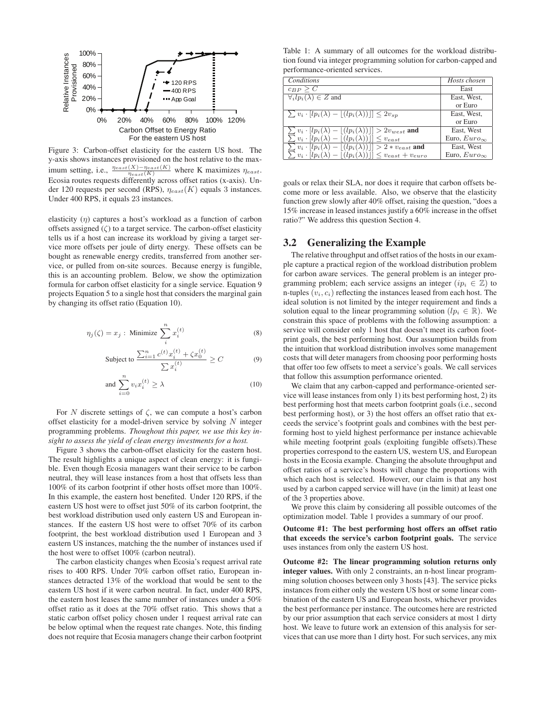

Figure 3: Carbon-offset elasticity for the eastern US host. The y-axis shows instances provisioned on the host relative to the maximum setting, i.e.,  $\frac{\eta_{east}(X) - \eta_{east}(K)}{\eta_{east}(K)}$  where K maximizes  $\eta_{east}$ . Ecosia routes requests differently across offset ratios (x-axis). Under 120 requests per second (RPS),  $\eta_{east}(K)$  equals 3 instances. Under 400 RPS, it equals 23 instances.

elasticity  $(n)$  captures a host's workload as a function of carbon offsets assigned  $(\zeta)$  to a target service. The carbon-offset elasticity tells us if a host can increase its workload by giving a target service more offsets per joule of dirty energy. These offsets can be bought as renewable energy credits, transferred from another service, or pulled from on-site sources. Because energy is fungible, this is an accounting problem. Below, we show the optimization formula for carbon offset elasticity for a single service. Equation 9 projects Equation 5 to a single host that considers the marginal gain by changing its offset ratio (Equation 10).

$$
\eta_j(\zeta) = x_j : \text{ Minimize } \sum_{i}^{n} x_i^{(t)} \tag{8}
$$

Subject to 
$$
\frac{\sum_{i=1}^{n} c^{(t)} x_i^{(t)} + \zeta x_0^{(t)}}{\sum x_i^{(t)}} \ge C
$$
 (9)

and 
$$
\sum_{i=0}^{n} v_i x_i^{(t)} \ge \lambda
$$
 (10)

For N discrete settings of  $\zeta$ , we can compute a host's carbon offset elasticity for a model-driven service by solving  $N$  integer programming problems. *Thoughout this paper, we use this key insight to assess the yield of clean energy investments for a host.*

Figure 3 shows the carbon-offset elasticity for the eastern host. The result highlights a unique aspect of clean energy: it is fungible. Even though Ecosia managers want their service to be carbon neutral, they will lease instances from a host that offsets less than 100% of its carbon footprint if other hosts offset more than 100%. In this example, the eastern host benefited. Under 120 RPS, if the eastern US host were to offset just 50% of its carbon footprint, the best workload distribution used only eastern US and European instances. If the eastern US host were to offset 70% of its carbon footprint, the best workload distribution used 1 European and 3 eastern US instances, matching the the number of instances used if the host were to offset 100% (carbon neutral).

The carbon elasticity changes when Ecosia's request arrival rate rises to 400 RPS. Under 70% carbon offset ratio, European instances detracted 13% of the workload that would be sent to the eastern US host if it were carbon neutral. In fact, under 400 RPS, the eastern host leases the same number of instances under a 50% offset ratio as it does at the 70% offset ratio. This shows that a static carbon offset policy chosen under 1 request arrival rate can be below optimal when the request rate changes. Note, this finding does not require that Ecosia managers change their carbon footprint

Table 1: A summary of all outcomes for the workload distribution found via integer programming solution for carbon-capped and performance-oriented services.

| <b>Conditions</b>                                                                                                                                             | Hosts chosen          |
|---------------------------------------------------------------------------------------------------------------------------------------------------------------|-----------------------|
| $c_{BP} > C$                                                                                                                                                  | East                  |
| $\overline{\forall_i l p_i(\lambda)} \in Z$ and                                                                                                               | East, West,           |
|                                                                                                                                                               | or Euro               |
| $\sum v_i \cdot  lp_i(\lambda) -  (lp_i(\lambda))  \leq 2v_{sp}$                                                                                              | East, West,           |
|                                                                                                                                                               | or Euro               |
|                                                                                                                                                               | East, West            |
| $\sum v_i \cdot [lp_i(\lambda) - \overline{[(lp_i(\lambda))]]} > 2v_{west}$ and $\sum v_i \cdot [lp_i(\lambda) - \overline{[(lp_i(\lambda))]]} \leq v_{east}$ | Euro, $Euro_{\infty}$ |
| $\sum v_i \cdot  lp_i(\lambda) -  (lp_i(\lambda))   > 2 * v_{east}$ and                                                                                       | East, West            |
| $\sum v_i \cdot [lp_i(\lambda) -  (lp_i(\lambda)) ] \leq v_{east} + v_{euro}$                                                                                 | Euro, $Euro_{\infty}$ |

goals or relax their SLA, nor does it require that carbon offsets become more or less available. Also, we observe that the elasticity function grew slowly after 40% offset, raising the question, "does a 15% increase in leased instances justify a 60% increase in the offset ratio?" We address this question Section 4.

#### 3.2 Generalizing the Example

The relative throughput and offset ratios of the hosts in our example capture a practical region of the workload distribution problem for carbon aware services. The general problem is an integer programming problem; each service assigns an integer ( $ip_i \in \mathbb{Z}$ ) to n-tuples  $(v_i, c_i)$  reflecting the instances leased from each host. The ideal solution is not limited by the integer requirement and finds a solution equal to the linear programming solution ( $lp_i \in \mathbb{R}$ ). We constrain this space of problems with the following assumption: a service will consider only 1 host that doesn't meet its carbon footprint goals, the best performing host. Our assumption builds from the intuition that workload distribution involves some management costs that will deter managers from choosing poor performing hosts that offer too few offsets to meet a service's goals. We call services that follow this assumption performance oriented.

We claim that any carbon-capped and performance-oriented service will lease instances from only 1) its best performing host, 2) its best performing host that meets carbon footprint goals (i.e., second best performing host), or 3) the host offers an offset ratio that exceeds the service's footprint goals and combines with the best performing host to yield highest performance per instance achievable while meeting footprint goals (exploiting fungible offsets).These properties correspond to the eastern US, western US, and European hosts in the Ecosia example. Changing the absolute throughput and offset ratios of a service's hosts will change the proportions with which each host is selected. However, our claim is that any host used by a carbon capped service will have (in the limit) at least one of the 3 properties above.

We prove this claim by considering all possible outcomes of the optimization model. Table 1 provides a summary of our proof.

Outcome #1: The best performing host offers an offset ratio that exceeds the service's carbon footprint goals. The service uses instances from only the eastern US host.

Outcome #2: The linear programming solution returns only integer values. With only 2 constraints, an n-host linear programming solution chooses between only 3 hosts [43]. The service picks instances from either only the western US host or some linear combination of the eastern US and European hosts, whichever provides the best performance per instance. The outcomes here are restricted by our prior assumption that each service considers at most 1 dirty host. We leave to future work an extension of this analysis for services that can use more than 1 dirty host. For such services, any mix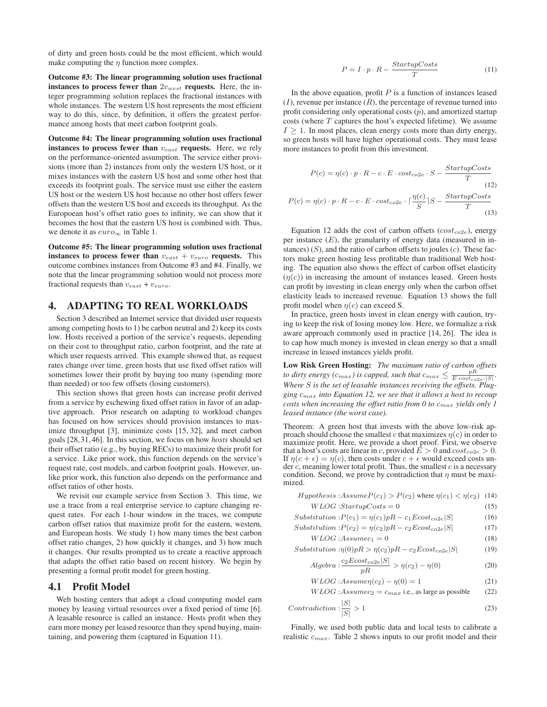of dirty and green hosts could be the most efficient, which would make computing the  $\eta$  function more complex.

Outcome #3: The linear programming solution uses fractional instances to process fewer than  $2v_{west}$  requests. Here, the integer programming solution replaces the fractional instances with whole instances. The western US host represents the most efficient way to do this, since, by definition, it offers the greatest performance among hosts that meet carbon footprint goals.

Outcome #4: The linear programming solution uses fractional instances to process fewer than  $v_{east}$  requests. Here, we rely on the performance-oriented assumption. The service either provisions (more than 2) instances from only the western US host, or it mixes instances with the eastern US host and some other host that exceeds its footprint goals. The service must use either the eastern US host or the western US host because no other host offers fewer offsets than the western US host and exceeds its throughput. As the Europoean host's offset ratio goes to infinity, we can show that it becomes the host that the eastern US host is combined with. Thus, we denote it as  $euro_{\infty}$  in Table 1.

Outcome #5: The linear programming solution uses fractional instances to process fewer than  $v_{east} + v_{euro}$  requests. This outcome combines instances from Outcome #3 and #4. Finally, we note that the linear programming solution would not process more fractional requests than  $v_{east} + v_{euro}$ .

#### 4. ADAPTING TO REAL WORKLOADS

Section 3 described an Internet service that divided user requests among competing hosts to 1) be carbon neutral and 2) keep its costs low. Hosts received a portion of the service's requests, depending on their cost to throughput ratio, carbon footprint, and the rate at which user requests arrived. This example showed that, as request rates change over time, green hosts that use fixed offset ratios will sometimes lower their profit by buying too many (spending more than needed) or too few offsets (losing customers).

This section shows that green hosts can increase profit derived from a service by eschewing fixed offset ratios in favor of an adaptive approach. Prior research on adapting to workload changes has focused on how services should provision instances to maximize throughput [3], minimize costs [15, 32], and meet carbon goals [28, 31, 46]. In this section, we focus on how *hosts* should set their offset ratio (e.g., by buying RECs) to maximize their profit for a service. Like prior work, this function depends on the service's request rate, cost models, and carbon footprint goals. However, unlike prior work, this function also depends on the performance and offset ratios of other hosts.

We revisit our example service from Section 3. This time, we use a trace from a real enterprise service to capture changing request rates. For each 1-hour window in the traces, we compute carbon offset ratios that maximize profit for the eastern, western, and European hosts. We study 1) how many times the best carbon offset ratio changes, 2) how quickly it changes, and 3) how much it changes. Our results prompted us to create a reactive approach that adapts the offset ratio based on recent history. We begin by presenting a formal profit model for green hosting.

#### 4.1 Profit Model

Web hosting centers that adopt a cloud computing model earn money by leasing virtual resources over a fixed period of time [6]. A leasable resource is called an instance. Hosts profit when they earn more money per leased resource than they spend buying, maintaining, and powering them (captured in Equation 11).

$$
P = I \cdot p \cdot R - \frac{StartupCosts}{T}
$$
 (11)

In the above equation, profit  $P$  is a function of instances leased  $(I)$ , revenue per instance  $(R)$ , the percentage of revenue turned into profit considering only operational costs  $(p)$ , and amortized startup costs (where  $T$  captures the host's expected lifetime). We assume  $I \geq 1$ . In most places, clean energy costs more than dirty energy, so green hosts will have higher operational costs. They must lease more instances to profit from this investment.

$$
P(c) = \eta(c) \cdot p \cdot R - c \cdot E \cdot cost_{co2e} \cdot S - \frac{StartupCosts}{T}
$$
  
(12)  

$$
P(c) = \eta(c) \cdot p \cdot R - c \cdot E \cdot cost_{co2e} \cdot \lceil \frac{\eta(c)}{S} \rceil S - \frac{StartupCosts}{T}
$$
  
(13)

Equation 12 adds the cost of carbon offsets  $(cost_{co2e})$ , energy per instance  $(E)$ , the granularity of energy data (measured in instances)  $(S)$ , and the ratio of carbon offsets to joules  $(c)$ . These factors make green hosting less profitable than traditional Web hosting. The equation also shows the effect of carbon offset elasticity  $(\eta(c))$  in increasing the amount of instances leased. Green hosts can profit by investing in clean energy only when the carbon offset elasticity leads to increased revenue. Equation 13 shows the full profit model when  $\eta(c)$  can exceed S.

In practice, green hosts invest in clean energy with caution, trying to keep the risk of losing money low. Here, we formalize a risk aware approach commonly used in practice [14, 26]. The idea is to cap how much money is invested in clean energy so that a small increase in leased instances yields profit.

Low Risk Green Hosting: *The maximum ratio of carbon offsets to dirty energy (c<sub>max</sub>) is capped, such that*  $c_{max} \leq \frac{pR}{E \cdot cost_{co2e} \cdot |S|}$ . *Where* S *is the set of leasable instances receiving the offsets. Plugging* cmax *into Equation 12, we see that it allows a host to recoup costs when increasing the offset ratio from 0 to* cmax *yields only 1 leased instance (the worst case).*

Theorem: A green host that invests with the above low-risk approach should choose the smallest c that maximizes  $\eta(c)$  in order to maximize profit. Here, we provide a short proof. First, we observe that a host's costs are linear in c, provided  $\bar{E} > 0$  and  $cost_{co2e} > 0$ . If  $\eta(c + \epsilon) = \eta(c)$ , then costs under  $c + \epsilon$  would exceed costs under  $c$ , meaning lower total profit. Thus, the smallest  $c$  is a necessary condition. Second, we prove by contradiction that  $\eta$  must be maximized.

*Hypothesis* : *Assume* 
$$
P(c_1) > P(c_2)
$$
 where  $\eta(c_1) < \eta(c_2)$  (14)

$$
WLOG: Start upCosts = 0 \tag{15}
$$

$$
Substitution: P(c_1) = \eta(c_1)pR - c_1Ecost_{co2e}|S|
$$
 (16)

$$
Substitution: P(c_2) = \eta(c_2)pR - c_2Ecost_{co2e}|S|
$$
 (17)

$$
WLOG: Assumec_1 = 0
$$
\n
$$
Substitution: n(0)nR > n(c_2)nR - c_2Ecost_{cc_2e}|S|
$$
\n
$$
(19)
$$

$$
iubstitution: \eta(0)pK > \eta(c_2)pK - c_2Ecost_{co2e}|S|
$$
\n
$$
c_2Ecost_{co2e}|S|
$$
\n
$$
(19)
$$

$$
Algebra: \frac{c_2 \log_{co2e} |\nu|}{pR} > \eta(c_2) - \eta(0)
$$
 (20)

$$
WLOG:Assume\eta(c_2) - \eta(0) = 1\tag{21}
$$

$$
WLOG: Assumec_2 = c_{max} \text{ i.e., as large as possible } (22)
$$

$$
Contraction: \frac{|S|}{|S|} > 1
$$
\n<sup>(23)</sup>

Finally, we used both public data and local tests to calibrate a realistic  $c_{max}$ . Table 2 shows inputs to our profit model and their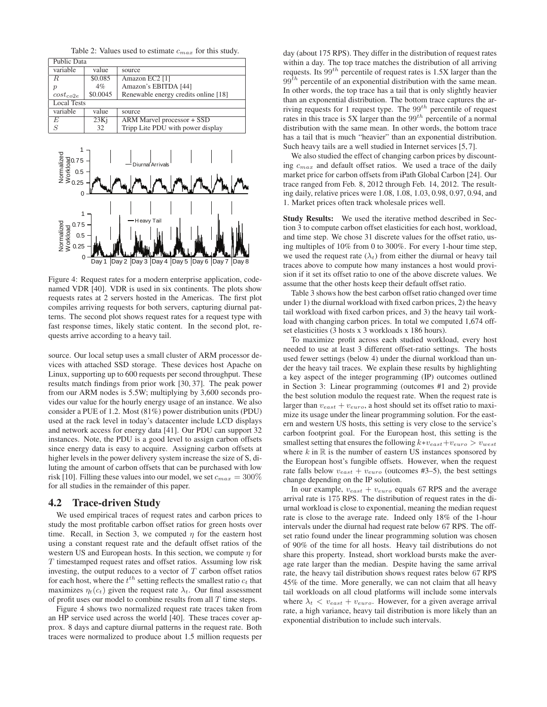Table 2: Values used to estimate  $c_{max}$  for this study.

| Public Data        |          |                                      |  |
|--------------------|----------|--------------------------------------|--|
| variable           | value    | source                               |  |
| R.                 | \$0.085  | Amazon EC2 [1]                       |  |
| $\mathcal{p}$      | $4\%$    | Amazon's EBITDA [44]                 |  |
| $cost_{co2e}$      | \$0.0045 | Renewable energy credits online [18] |  |
| <b>Local Tests</b> |          |                                      |  |
| variable           | value    | source                               |  |
| E                  | 23Ki     | ARM Marvel processor + SSD           |  |
| S                  | 32       | Tripp Lite PDU with power display    |  |



Figure 4: Request rates for a modern enterprise application, codenamed VDR [40]. VDR is used in six continents. The plots show requests rates at 2 servers hosted in the Americas. The first plot compiles arriving requests for both servers, capturing diurnal patterns. The second plot shows request rates for a request type with fast response times, likely static content. In the second plot, requests arrive according to a heavy tail.

source. Our local setup uses a small cluster of ARM processor devices with attached SSD storage. These devices host Apache on Linux, supporting up to 600 requests per second throughput. These results match findings from prior work [30, 37]. The peak power from our ARM nodes is 5.5W; multiplying by 3,600 seconds provides our value for the hourly energy usage of an instance. We also consider a PUE of 1.2. Most (81%) power distribution units (PDU) used at the rack level in today's datacenter include LCD displays and network access for energy data [41]. Our PDU can support 32 instances. Note, the PDU is a good level to assign carbon offsets since energy data is easy to acquire. Assigning carbon offsets at higher levels in the power delivery system increase the size of S, diluting the amount of carbon offsets that can be purchased with low risk [10]. Filling these values into our model, we set  $c_{max} = 300\%$ for all studies in the remainder of this paper.

#### 4.2 Trace-driven Study

We used empirical traces of request rates and carbon prices to study the most profitable carbon offset ratios for green hosts over time. Recall, in Section 3, we computed  $\eta$  for the eastern host using a constant request rate and the default offset ratios of the western US and European hosts. In this section, we compute  $\eta$  for T timestamped request rates and offset ratios. Assuming low risk investing, the output reduces to a vector of  $T$  carbon offset ratios for each host, where the  $t^{th}$  setting reflects the smallest ratio  $c_t$  that maximizes  $\eta_t(c_t)$  given the request rate  $\lambda_t$ . Our final assessment of profit uses our model to combine results from all  $T$  time steps.

Figure 4 shows two normalized request rate traces taken from an HP service used across the world [40]. These traces cover approx. 8 days and capture diurnal patterns in the request rate. Both traces were normalized to produce about 1.5 million requests per

day (about 175 RPS). They differ in the distribution of request rates within a day. The top trace matches the distribution of all arriving requests. Its  $99<sup>th</sup>$  percentile of request rates is 1.5X larger than the  $99<sup>th</sup>$  percentile of an exponential distribution with the same mean. In other words, the top trace has a tail that is only slightly heavier than an exponential distribution. The bottom trace captures the arriving requests for 1 request type. The  $99^{th}$  percentile of request rates in this trace is 5X larger than the  $99^{th}$  percentile of a normal distribution with the same mean. In other words, the bottom trace has a tail that is much "heavier" than an exponential distribution. Such heavy tails are a well studied in Internet services [5, 7].

We also studied the effect of changing carbon prices by discounting  $c_{max}$  and default offset ratios. We used a trace of the daily market price for carbon offsets from iPath Global Carbon [24]. Our trace ranged from Feb. 8, 2012 through Feb. 14, 2012. The resulting daily, relative prices were 1.08, 1.08, 1.03, 0.98, 0.97, 0.94, and 1. Market prices often track wholesale prices well.

Study Results: We used the iterative method described in Section 3 to compute carbon offset elasticities for each host, workload, and time step. We chose 31 discrete values for the offset ratio, using multiples of 10% from 0 to 300%. For every 1-hour time step, we used the request rate  $(\lambda_t)$  from either the diurnal or heavy tail traces above to compute how many instances a host would provision if it set its offset ratio to one of the above discrete values. We assume that the other hosts keep their default offset ratio.

Table 3 shows how the best carbon offset ratio changed over time under 1) the diurnal workload with fixed carbon prices, 2) the heavy tail workload with fixed carbon prices, and 3) the heavy tail workload with changing carbon prices. In total we computed 1,674 offset elasticities (3 hosts x 3 workloads x 186 hours).

To maximize profit across each studied workload, every host needed to use at least 3 different offset-ratio settings. The hosts used fewer settings (below 4) under the diurnal workload than under the heavy tail traces. We explain these results by highlighting a key aspect of the integer programming (IP) outcomes outlined in Section 3: Linear programming (outcomes #1 and 2) provide the best solution modulo the request rate. When the request rate is larger than  $v_{east} + v_{euro}$ , a host should set its offset ratio to maximize its usage under the linear programming solution. For the eastern and western US hosts, this setting is very close to the service's carbon footprint goal. For the European host, this setting is the smallest setting that ensures the following  $k*v_{east}+v_{euro} > v_{west}$ where  $k$  in  $\mathbb R$  is the number of eastern US instances sponsored by the European host's fungible offsets. However, when the request rate falls below  $v_{east} + v_{euro}$  (outcomes #3–5), the best settings change depending on the IP solution.

In our example,  $v_{east} + v_{euro}$  equals 67 RPS and the average arrival rate is 175 RPS. The distribution of request rates in the diurnal workload is close to exponential, meaning the median request rate is close to the average rate. Indeed only 18% of the 1-hour intervals under the diurnal had request rate below 67 RPS. The offset ratio found under the linear programming solution was chosen of 90% of the time for all hosts. Heavy tail distributions do not share this property. Instead, short workload bursts make the average rate larger than the median. Despite having the same arrival rate, the heavy tail distribution shows request rates below 67 RPS 45% of the time. More generally, we can not claim that all heavy tail workloads on all cloud platforms will include some intervals where  $\lambda_t$  <  $v_{east}$  +  $v_{euro}$ . However, for a given average arrival rate, a high variance, heavy tail distribution is more likely than an exponential distribution to include such intervals.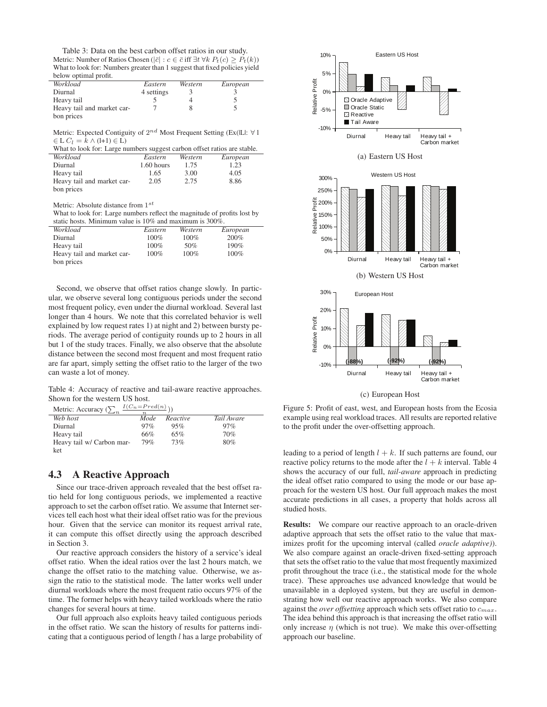Table 3: Data on the best carbon offset ratios in our study. Metric: Number of Ratios Chosen ( $|\bar{c}| : c \in \bar{c}$  iff  $\exists t \forall k \ P_t(c) \geq P_t(k)$ ) What to look for: Numbers greater than 1 suggest that fixed policies yield below optimal profit.

| Workload                   | Eastern    | Western | European |
|----------------------------|------------|---------|----------|
| Diurnal                    | 4 settings |         |          |
| Heavy tail                 |            |         |          |
| Heavy tail and market car- |            |         |          |
| bon prices                 |            |         |          |

Metric: Expected Contiguity of  $2^{nd}$  Most Frequent Setting (Ex(|L|:  $\forall$  l  $\in L C_l = k \wedge (l+1) \in L$ 

| What to look for: Large numbers suggest carbon offset ratios are stable. |              |         |          |  |
|--------------------------------------------------------------------------|--------------|---------|----------|--|
| Workload                                                                 | Eastern      | Western | European |  |
| Diurnal                                                                  | $1.60$ hours | 1.75    | 1.23     |  |
| Heavy tail                                                               | 1.65         | 3.00    | 4.05     |  |
| Heavy tail and market car-                                               | 2.05         | 2.75    | 8.86     |  |
| bon prices                                                               |              |         |          |  |

Metric: Absolute distance from  $1^{st}$ 

What to look for: Large numbers reflect the magnitude of profits lost by static hosts. Minimum value is 10% and maximum is 300%.

| Workload                   | Eastern | Western | European |
|----------------------------|---------|---------|----------|
| Diurnal                    | 100%    | 100%    | 200%     |
| Heavy tail                 | 100%    | 50%     | 190%     |
| Heavy tail and market car- | 100%    | $100\%$ | $100\%$  |
| bon prices                 |         |         |          |

Second, we observe that offset ratios change slowly. In particular, we observe several long contiguous periods under the second most frequent policy, even under the diurnal workload. Several last longer than 4 hours. We note that this correlated behavior is well explained by low request rates 1) at night and 2) between bursty periods. The average period of contiguity rounds up to 2 hours in all but 1 of the study traces. Finally, we also observe that the absolute distance between the second most frequent and most frequent ratio are far apart, simply setting the offset ratio to the larger of the two can waste a lot of money.

Table 4: Accuracy of reactive and tail-aware reactive approaches. Shown for the western US host.

Metric: Accuracy  $(\sum_n \frac{I(C_n=Pred(n))}{n})$ 

| $m$ canacy $\sum_{n}$     |      |          |            |
|---------------------------|------|----------|------------|
| Web host                  | Mode | Reactive | Tail Aware |
| Diurnal                   | 97%  | 95%      | 97%        |
| Heavy tail                | 66%  | 65%      | 70%        |
| Heavy tail w/ Carbon mar- | 79%  | 73%      | 80%        |
| ket                       |      |          |            |

#### 4.3 A Reactive Approach

Since our trace-driven approach revealed that the best offset ratio held for long contiguous periods, we implemented a reactive approach to set the carbon offset ratio. We assume that Internet services tell each host what their ideal offset ratio was for the previous hour. Given that the service can monitor its request arrival rate, it can compute this offset directly using the approach described in Section 3.

Our reactive approach considers the history of a service's ideal offset ratio. When the ideal ratios over the last 2 hours match, we change the offset ratio to the matching value. Otherwise, we assign the ratio to the statistical mode. The latter works well under diurnal workloads where the most frequent ratio occurs 97% of the time. The former helps with heavy tailed workloads where the ratio changes for several hours at time.

Our full approach also exploits heavy tailed contiguous periods in the offset ratio. We scan the history of results for patterns indicating that a contiguous period of length l has a large probability of



(c) European Host

Figure 5: Profit of east, west, and European hosts from the Ecosia example using real workload traces. All results are reported relative to the profit under the over-offsetting approach.

leading to a period of length  $l + k$ . If such patterns are found, our reactive policy returns to the mode after the  $l + k$  interval. Table 4 shows the accuracy of our full, *tail-aware* approach in predicting the ideal offset ratio compared to using the mode or our base approach for the western US host. Our full approach makes the most accurate predictions in all cases, a property that holds across all studied hosts.

Results: We compare our reactive approach to an oracle-driven adaptive approach that sets the offset ratio to the value that maximizes profit for the upcoming interval (called *oracle adaptive)*). We also compare against an oracle-driven fixed-setting approach that sets the offset ratio to the value that most frequently maximized profit throughout the trace (i.e., the statistical mode for the whole trace). These approaches use advanced knowledge that would be unavailable in a deployed system, but they are useful in demonstrating how well our reactive approach works. We also compare against the *over offsetting* approach which sets offset ratio to  $c_{max}$ . The idea behind this approach is that increasing the offset ratio will only increase  $\eta$  (which is not true). We make this over-offsetting approach our baseline.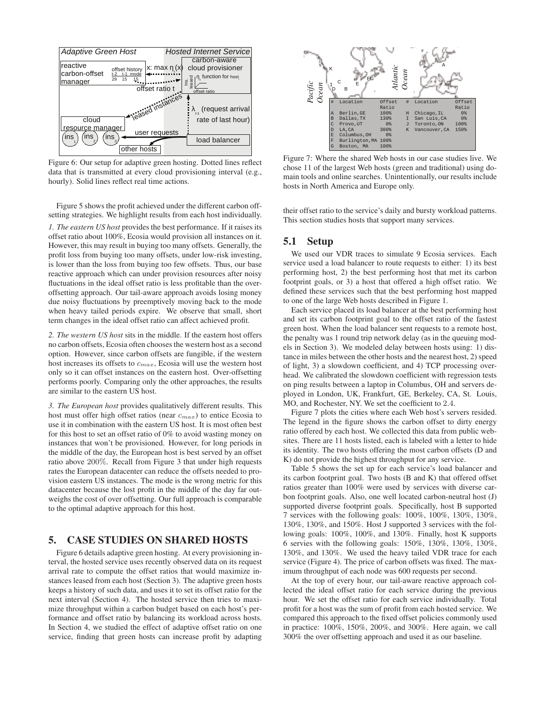

Figure 6: Our setup for adaptive green hosting. Dotted lines reflect data that is transmitted at every cloud provisioning interval (e.g., hourly). Solid lines reflect real time actions.

Figure 5 shows the profit achieved under the different carbon offsetting strategies. We highlight results from each host individually.

*1. The eastern US host* provides the best performance. If it raises its offset ratio about 100%, Ecosia would provision all instances on it. However, this may result in buying too many offsets. Generally, the profit loss from buying too many offsets, under low-risk investing, is lower than the loss from buying too few offsets. Thus, our base reactive approach which can under provision resources after noisy fluctuations in the ideal offset ratio is less profitable than the overoffsetting approach. Our tail-aware approach avoids losing money due noisy fluctuations by preemptively moving back to the mode when heavy tailed periods expire. We observe that small, short term changes in the ideal offset ratio can affect achieved profit.

*2. The western US host* sits in the middle. If the eastern host offers no carbon offsets, Ecosia often chooses the western host as a second option. However, since carbon offsets are fungible, if the western host increases its offsets to  $c_{max}$ , Ecosia will use the western host only so it can offset instances on the eastern host. Over-offsetting performs poorly. Comparing only the other approaches, the results are similar to the eastern US host.

*3. The European host* provides qualitatively different results. This host must offer high offset ratios (near  $c_{max}$ ) to entice Ecosia to use it in combination with the eastern US host. It is most often best for this host to set an offset ratio of 0% to avoid wasting money on instances that won't be provisioned. However, for long periods in the middle of the day, the European host is best served by an offset ratio above 200%. Recall from Figure 3 that under high requests rates the European datacenter can reduce the offsets needed to provision eastern US instances. The mode is the wrong metric for this datacenter because the lost profit in the middle of the day far outweighs the cost of over offsetting. Our full approach is comparable to the optimal adaptive approach for this host.

## 5. CASE STUDIES ON SHARED HOSTS

Figure 6 details adaptive green hosting. At every provisioning interval, the hosted service uses recently observed data on its request arrival rate to compute the offset ratios that would maximize instances leased from each host (Section 3). The adaptive green hosts keeps a history of such data, and uses it to set its offset ratio for the next interval (Section 4). The hosted service then tries to maximize throughput within a carbon budget based on each host's performance and offset ratio by balancing its workload across hosts. In Section 4, we studied the effect of adaptive offset ratio on one service, finding that green hosts can increase profit by adapting



Figure 7: Where the shared Web hosts in our case studies live. We chose 11 of the largest Web hosts (green and traditional) using domain tools and online searches. Unintentionally, our results include hosts in North America and Europe only.

their offset ratio to the service's daily and bursty workload patterns. This section studies hosts that support many services.

#### 5.1 Setup

We used our VDR traces to simulate 9 Ecosia services. Each service used a load balancer to route requests to either: 1) its best performing host, 2) the best performing host that met its carbon footprint goals, or 3) a host that offered a high offset ratio. We defined these services such that the best performing host mapped to one of the large Web hosts described in Figure 1.

Each service placed its load balancer at the best performing host and set its carbon footprint goal to the offset ratio of the fastest green host. When the load balancer sent requests to a remote host, the penalty was 1 round trip network delay (as in the queuing models in Section 3). We modeled delay between hosts using: 1) distance in miles between the other hosts and the nearest host, 2) speed of light, 3) a slowdown coefficient, and 4) TCP processing overhead. We calibrated the slowdown coefficient with regression tests on ping results between a laptop in Columbus, OH and servers deployed in London, UK, Frankfurt, GE, Berkeley, CA, St. Louis, MO, and Rochester, NY. We set the coefficient to 2.4.

Figure 7 plots the cities where each Web host's servers resided. The legend in the figure shows the carbon offset to dirty energy ratio offered by each host. We collected this data from public websites. There are 11 hosts listed, each is labeled with a letter to hide its identity. The two hosts offering the most carbon offsets (D and K) do not provide the highest throughput for any service.

Table 5 shows the set up for each service's load balancer and its carbon footprint goal. Two hosts (B and K) that offered offset ratios greater than 100% were used by services with diverse carbon footprint goals. Also, one well located carbon-neutral host (J) supported diverse footprint goals. Specifically, host B supported 7 services with the following goals: 100%, 100%, 130%, 130%, 130%, 130%, and 150%. Host J supported 3 services with the following goals: 100%, 100%, and 130%. Finally, host K supports 6 servies with the following goals: 150%, 130%, 130%, 130%, 130%, and 130%. We used the heavy tailed VDR trace for each service (Figure 4). The price of carbon offsets was fixed. The maximum throughput of each node was 600 requests per second.

At the top of every hour, our tail-aware reactive approach collected the ideal offset ratio for each service during the previous hour. We set the offset ratio for each service individually. Total profit for a host was the sum of profit from each hosted service. We compared this approach to the fixed offset policies commonly used in practice: 100%, 150%, 200%, and 300%. Here again, we call 300% the over offsetting approach and used it as our baseline.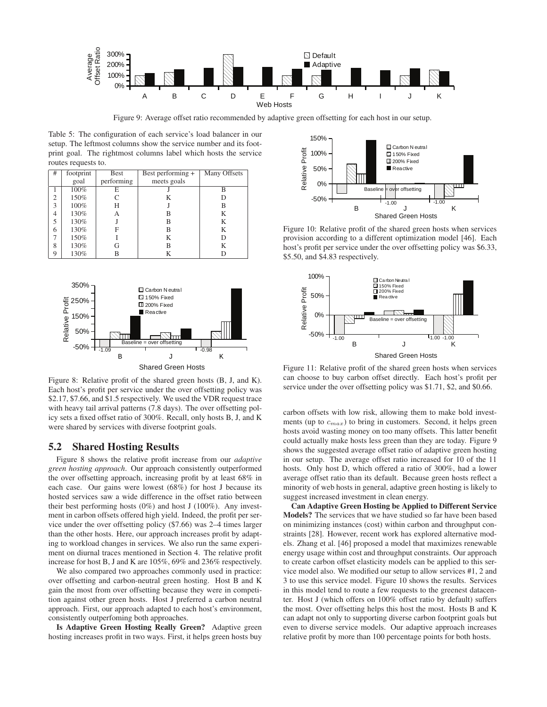![](_page_8_Figure_0.jpeg)

Figure 9: Average offset ratio recommended by adaptive green offsetting for each host in our setup.

Table 5: The configuration of each service's load balancer in our setup. The leftmost columns show the service number and its footprint goal. The rightmost columns label which hosts the service routes requests to.

| #              | footprint | <b>Best</b> | Best performing + | Many Offsets |
|----------------|-----------|-------------|-------------------|--------------|
|                | goal      | performing  | meets goals       |              |
|                | 100%      | E           |                   | B            |
| $\overline{c}$ | 150%      | C           | K                 |              |
| 3              | 100%      | Н           |                   | В            |
| 4              | 130%      | А           | B                 | K            |
| 5              | 130%      |             | B                 | K            |
| 6              | 130%      | F           | B                 | K            |
|                | 150%      |             | K                 | D            |
| 8              | 130%      | G           | B                 | K            |
| Q              | 130%      | B           | K                 |              |

![](_page_8_Figure_4.jpeg)

Figure 8: Relative profit of the shared green hosts (B, J, and K). Each host's profit per service under the over offsetting policy was \$2.17, \$7.66, and \$1.5 respectively. We used the VDR request trace with heavy tail arrival patterns (7.8 days). The over offsetting policy sets a fixed offset ratio of 300%. Recall, only hosts B, J, and K were shared by services with diverse footprint goals.

#### 5.2 Shared Hosting Results

Figure 8 shows the relative profit increase from our *adaptive green hosting approach*. Our approach consistently outperformed the over offsetting approach, increasing profit by at least 68% in each case. Our gains were lowest (68%) for host J because its hosted services saw a wide difference in the offset ratio between their best performing hosts (0%) and host J (100%). Any investment in carbon offsets offered high yield. Indeed, the profit per service under the over offsetting policy (\$7.66) was 2–4 times larger than the other hosts. Here, our approach increases profit by adapting to workload changes in services. We also run the same experiment on diurnal traces mentioned in Section 4. The relative profit increase for host B, J and K are 105%, 69% and 236% respectively.

We also compared two approaches commonly used in practice: over offsetting and carbon-neutral green hosting. Host B and K gain the most from over offsetting because they were in competition against other green hosts. Host J preferred a carbon neutral approach. First, our approach adapted to each host's environment, consistently outperfoming both approaches.

Is Adaptive Green Hosting Really Green? Adaptive green hosting increases profit in two ways. First, it helps green hosts buy

![](_page_8_Figure_10.jpeg)

Figure 10: Relative profit of the shared green hosts when services provision according to a different optimization model [46]. Each host's profit per service under the over offsetting policy was \$6.33, \$5.50, and \$4.83 respectively.

![](_page_8_Figure_12.jpeg)

Figure 11: Relative profit of the shared green hosts when services can choose to buy carbon offset directly. Each host's profit per service under the over offsetting policy was \$1.71, \$2, and \$0.66.

carbon offsets with low risk, allowing them to make bold investments (up to  $c_{max}$ ) to bring in customers. Second, it helps green hosts avoid wasting money on too many offsets. This latter benefit could actually make hosts less green than they are today. Figure 9 shows the suggested average offset ratio of adaptive green hosting in our setup. The average offset ratio increased for 10 of the 11 hosts. Only host D, which offered a ratio of 300%, had a lower average offset ratio than its default. Because green hosts reflect a minority of web hosts in general, adaptive green hosting is likely to suggest increased investment in clean energy.

Can Adaptive Green Hosting be Applied to Different Service Models? The services that we have studied so far have been based on minimizing instances (cost) within carbon and throughput constraints [28]. However, recent work has explored alternative models. Zhang et al. [46] proposed a model that maximizes renewable energy usage within cost and throughput constraints. Our approach to create carbon offset elasticity models can be applied to this service model also. We modified our setup to allow services #1, 2 and 3 to use this service model. Figure 10 shows the results. Services in this model tend to route a few requests to the greenest datacenter. Host J (which offers on 100% offset ratio by default) suffers the most. Over offsetting helps this host the most. Hosts B and K can adapt not only to supporting diverse carbon footprint goals but even to diverse service models. Our adaptive approach increases relative profit by more than 100 percentage points for both hosts.